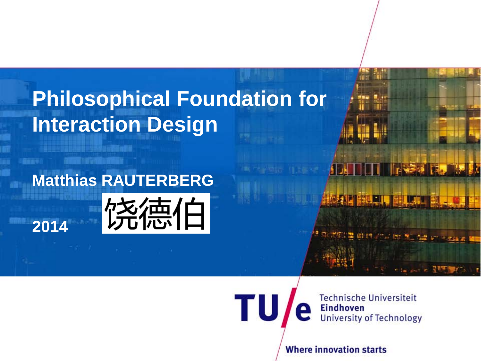# **Philosophical Foundation for Interaction Design**

#### **Matthias RAUTERBERG**

**2014**



**Technische Universiteit Eindhoven University of Technology** 

E

**PARA R. IX** 

**Where innovation starts** 

**TU**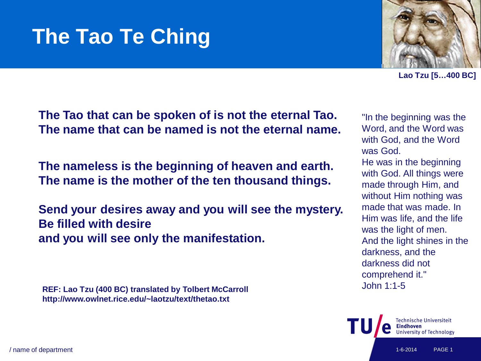## **The Tao Te Ching**

**Lao Tzu [5…400 BC]**

"In the beginning was the Word, and the Word was with God, and the Word

He was in the beginning with God. All things were made through Him, and without Him nothing was made that was made. In Him was life, and the life

was the light of men.

darkness, and the darkness did not comprehend it."

John 1:1-5

And the light shines in the

was God.

**The Tao that can be spoken of is not the eternal Tao. The name that can be named is not the eternal name.**

**The nameless is the beginning of heaven and earth. The name is the mother of the ten thousand things.**

**Send your desires away and you will see the mystery. Be filled with desire and you will see only the manifestation.**

**REF: Lao Tzu (400 BC) translated by Tolbert McCarroll http://www.owlnet.rice.edu/~laotzu/text/thetao.txt**



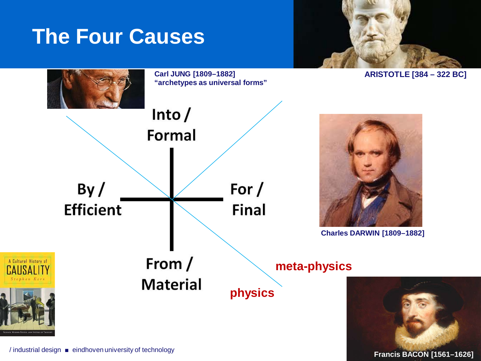#### **The Four Causes**



**ARISTOTLE [384 – 322 BC]**



**Francis BACON [1561–1626]**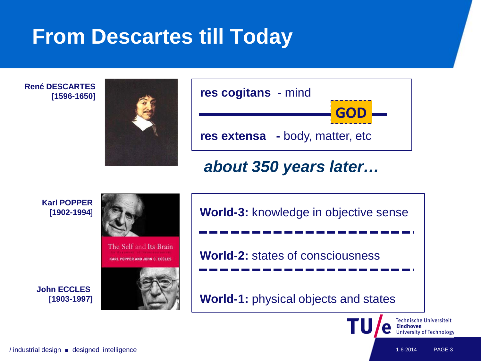#### **From Descartes till Today**

**René DESCARTES [1596-1650]**





#### *about 350 years later…*

**Karl POPPER [1902-1994**]







**World-3:** knowledge in objective sense **World-2:** states of consciousness **World-1:** physical objects and states



/ industrial design ■ designed intelligence 1-6-2014 PAGE 3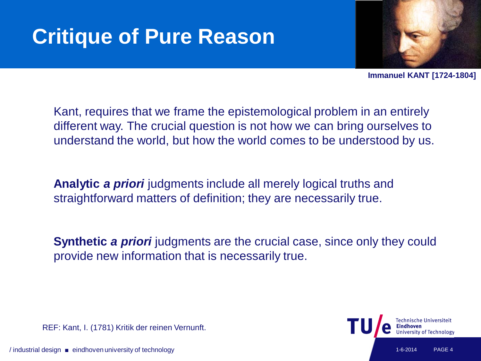# **Critique of Pure Reason**



**Immanuel KANT [1724-1804]**

Kant, requires that we frame the epistemological problem in an entirely different way. The crucial question is not how we can bring ourselves to understand the world, but how the world comes to be understood by us.

**Analytic** *a priori* judgments include all merely logical truths and straightforward matters of definition; they are necessarily true.

**Synthetic** *a priori* judgments are the crucial case, since only they could provide new information that is necessarily true.

REF: Kant, I. (1781) Kritik der reinen Vernunft.

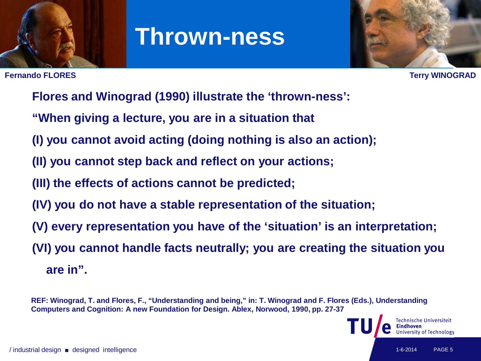

#### **Thrown-ness**

**Fernando FLORES Terry WINOGRAD**



- **Flores and Winograd (1990) illustrate the 'thrown-ness':**
- **"When giving a lecture, you are in a situation that**
- **(I) you cannot avoid acting (doing nothing is also an action);**
- **(II) you cannot step back and reflect on your actions;**
- **(III) the effects of actions cannot be predicted;**
- **(IV) you do not have a stable representation of the situation;**
- **(V) every representation you have of the 'situation' is an interpretation;**
- **(VI) you cannot handle facts neutrally; you are creating the situation you are in".**

**REF: Winograd, T. and Flores, F., "Understanding and being," in: T. Winograd and F. Flores (Eds.), Understanding Computers and Cognition: A new Foundation for Design. Ablex, Norwood, 1990, pp. 27-37**

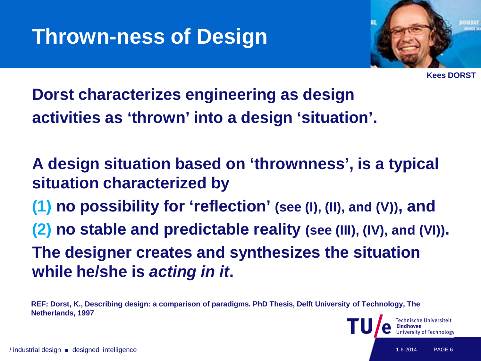

**Kees DORST**

**Dorst characterizes engineering as design activities as 'thrown' into a design 'situation'.**

**A design situation based on 'thrownness', is a typical situation characterized by (1) no possibility for 'reflection' (see (I), (II), and (V)), and (2) no stable and predictable reality (see (III), (IV), and (VI)). The designer creates and synthesizes the situation while he/she is** *acting in it***.**

**REF: Dorst, K., Describing design: a comparison of paradigms. PhD Thesis, Delft University of Technology, The Netherlands, 1997**

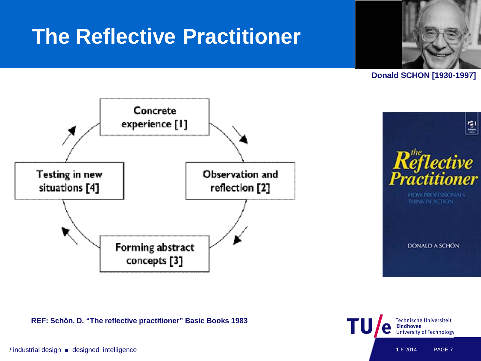#### **The Reflective Practitioner**



**Donald SCHON [1930-1997]**





**REF: Schön, D. "The reflective practitioner" Basic Books 1983** 

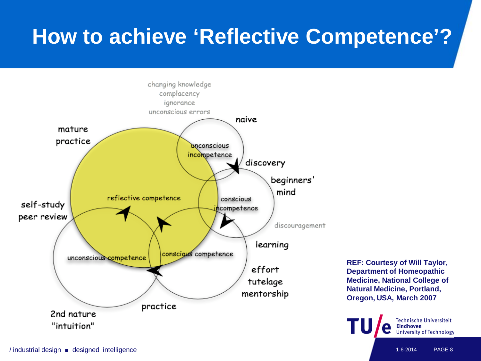## **How to achieve 'Reflective Competence'?**



**REF: Courtesy of Will Taylor, Department of Homeopathic Medicine, National College of Natural Medicine, Portland, Oregon, USA, March 2007**

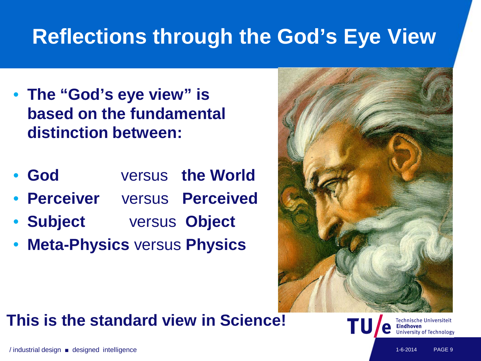### **Reflections through the God's Eye View**

- **The "God's eye view" is based on the fundamental distinction between:**
- **God** versus **the World**
- **Perceiver** versus **Perceived**
- **Subject** versus **Object**
- **Meta-Physics** versus **Physics**



#### **This is the standard view in Science!**

Technische Universiteit **Jniversity of Technology**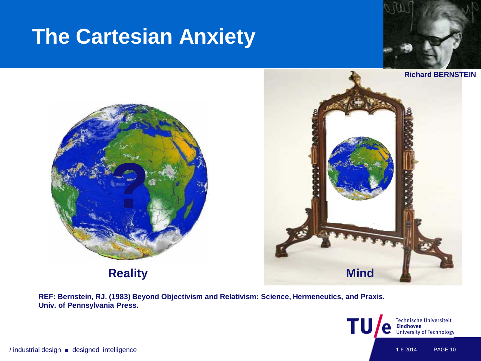#### **The Cartesian Anxiety**





**Reality**



**REF: Bernstein, RJ. (1983) Beyond Objectivism and Relativism: Science, Hermeneutics, and Praxis. Univ. of Pennsylvania Press.**

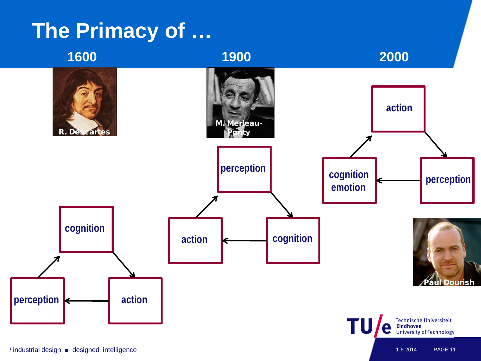#### **The Primacy of …**

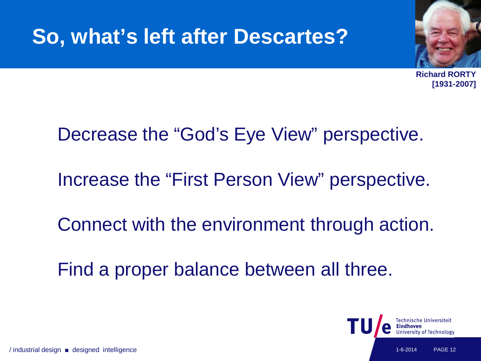#### **So, what's left after Descartes?**



**Richard RORTY [1931-2007]**

#### Decrease the "God's Eye View" perspective.

Increase the "First Person View" perspective.

Connect with the environment through action.

Find a proper balance between all three.

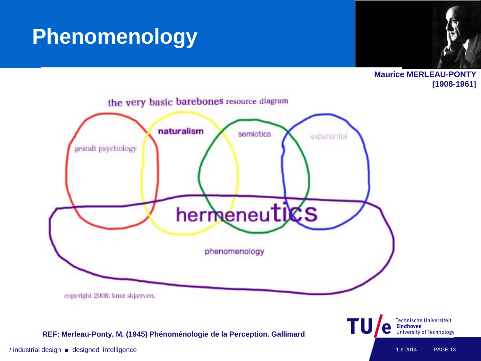#### **Phenomenology**



**Maurice MERLEAU-PONTY [1908-1961]**



#### **REF: Merleau-Ponty, M. (1945) Phénoménologie de la Perception. Gallimard**

Technische Universiteit<br>**Eindhoven**<br>University of Technology

TU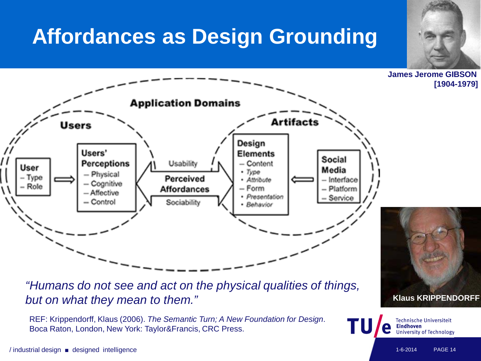### **Affordances as Design Grounding**

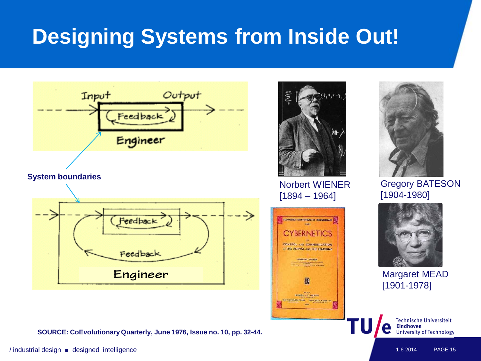# **Designing Systems from Inside Out!**



**System boundaries** 



**SOURCE: CoEvolutionary Quarterly, June 1976, Issue no. 10, pp. 32-44.** 



Norbert WIENER [1894 – 1964]





Gregory BATESON [1904-1980]



Margaret MEAD [1901-1978]



/ industrial design ■ designed intelligence 1-6-2014 PAGE 15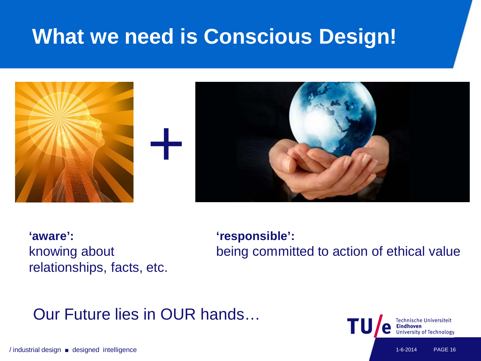### **What we need is Conscious Design!**



**'aware':**  knowing about relationships, facts, etc. **'responsible':**  being committed to action of ethical value

#### Our Future lies in OUR hands…